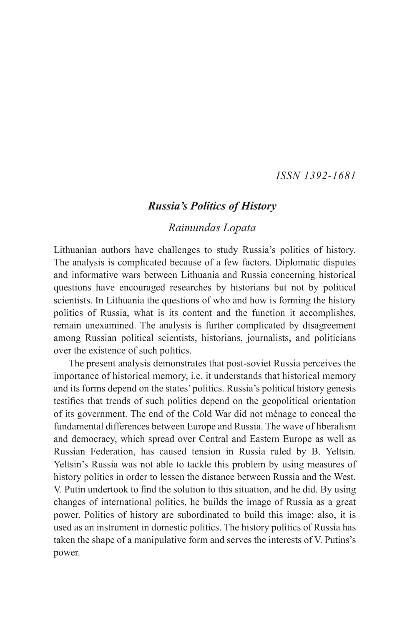#### *ISSN 1392-1681*

#### *Russia's Politics of History*

#### *Raimundas Lopata*

Lithuanian authors have challenges to study Russia's politics of history. The analysis is complicated because of a few factors. Diplomatic disputes and informative wars between Lithuania and Russia concerning historical questions have encouraged researches by historians but not by political scientists. In Lithuania the questions of who and how is forming the history politics of Russia, what is its content and the function it accomplishes, remain unexamined. The analysis is further complicated by disagreement among Russian political scientists, historians, journalists, and politicians over the existence of such politics.

The present analysis demonstrates that post-soviet Russia perceives the importance of historical memory, i.e. it understands that historical memory and its forms depend on the states' politics. Russia's political history genesis testifies that trends of such politics depend on the geopolitical orientation of its government. The end of the Cold War did not ménage to conceal the fundamental differences between Europe and Russia. The wave of liberalism and democracy, which spread over Central and Eastern Europe as well as Russian Federation, has caused tension in Russia ruled by B. Yeltsin. Yeltsin's Russia was not able to tackle this problem by using measures of history politics in order to lessen the distance between Russia and the West. V. Putin undertook to find the solution to this situation, and he did. By using changes of international politics, he builds the image of Russia as a great power. Politics of history are subordinated to build this image; also, it is used as an instrument in domestic politics. The history politics of Russia has taken the shape of a manipulative form and serves the interests of V. Putins's power.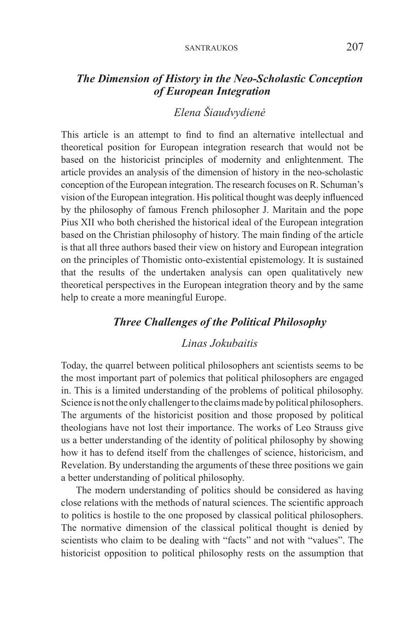### *The Dimension of History in the Neo-Scholastic Conception of European Integration*

# *Elena Šiaudvydienė*

This article is an attempt to find to find an alternative intellectual and theoretical position for European integration research that would not be based on the historicist principles of modernity and enlightenment. The article provides an analysis of the dimension of history in the neo-scholastic conception of the European integration. The research focuses on R. Schuman's vision of the European integration. His political thought was deeply influenced by the philosophy of famous French philosopher J. Maritain and the pope Pius XII who both cherished the historical ideal of the European integration based on the Christian philosophy of history. The main finding of the article is that all three authors based their view on history and European integration on the principles of Thomistic onto-existential epistemology. It is sustained that the results of the undertaken analysis can open qualitatively new theoretical perspectives in the European integration theory and by the same help to create a more meaningful Europe.

### *Three Challenges of the Political Philosophy*

#### *Linas Jokubaitis*

Today, the quarrel between political philosophers ant scientists seems to be the most important part of polemics that political philosophers are engaged in. This is a limited understanding of the problems of political philosophy. Science is not the only challenger to the claims made by political philosophers. The arguments of the historicist position and those proposed by political theologians have not lost their importance. The works of Leo Strauss give us a better understanding of the identity of political philosophy by showing how it has to defend itself from the challenges of science, historicism, and Revelation. By understanding the arguments of these three positions we gain a better understanding of political philosophy.

The modern understanding of politics should be considered as having close relations with the methods of natural sciences. The scientific approach to politics is hostile to the one proposed by classical political philosophers. The normative dimension of the classical political thought is denied by scientists who claim to be dealing with "facts" and not with "values". The historicist opposition to political philosophy rests on the assumption that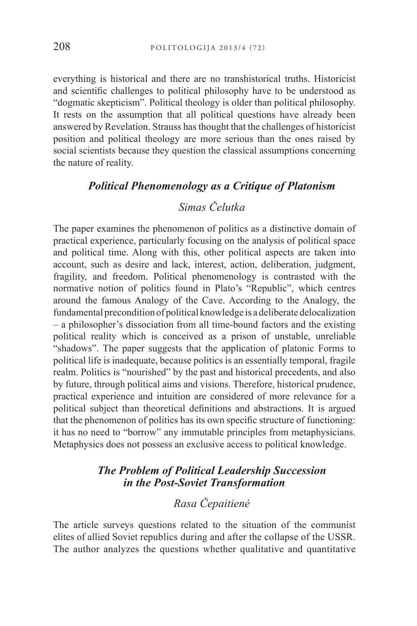everything is historical and there are no transhistorical truths. Historicist and scientific challenges to political philosophy have to be understood as "dogmatic skepticism". Political theology is older than political philosophy. It rests on the assumption that all political questions have already been answered by Revelation. Strauss has thought that the challenges of historicist position and political theology are more serious than the ones raised by social scientists because they question the classical assumptions concerning the nature of reality.

#### *Political Phenomenology as a Critique of Platonism*

## *Simas Čelutka*

The paper examines the phenomenon of politics as a distinctive domain of practical experience, particularly focusing on the analysis of political space and political time. Along with this, other political aspects are taken into account, such as desire and lack, interest, action, deliberation, judgment, fragility, and freedom. Political phenomenology is contrasted with the normative notion of politics found in Plato's "Republic", which centres around the famous Analogy of the Cave. According to the Analogy, the fundamental precondition of political knowledge is a deliberate delocalization – a philosopher's dissociation from all time-bound factors and the existing political reality which is conceived as a prison of unstable, unreliable "shadows". The paper suggests that the application of platonic Forms to political life is inadequate, because politics is an essentially temporal, fragile realm. Politics is "nourished" by the past and historical precedents, and also by future, through political aims and visions. Therefore, historical prudence, practical experience and intuition are considered of more relevance for a political subject than theoretical definitions and abstractions. It is argued that the phenomenon of politics has its own specific structure of functioning: it has no need to "borrow" any immutable principles from metaphysicians. Metaphysics does not possess an exclusive access to political knowledge.

### *The Problem of Political Leadership Succession in the Post-Soviet Transformation*

# *Rasa Čepaitienė*

The article surveys questions related to the situation of the communist elites of allied Soviet republics during and after the collapse of the USSR. The author analyzes the questions whether qualitative and quantitative